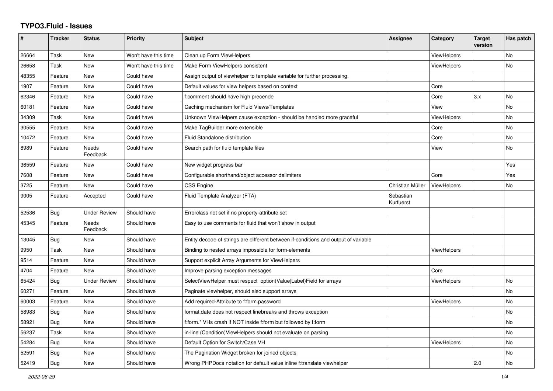## **TYPO3.Fluid - Issues**

| #     | <b>Tracker</b> | <b>Status</b>            | <b>Priority</b>      | <b>Subject</b>                                                                      | Assignee               | Category           | <b>Target</b><br>version | Has patch |
|-------|----------------|--------------------------|----------------------|-------------------------------------------------------------------------------------|------------------------|--------------------|--------------------------|-----------|
| 26664 | Task           | New                      | Won't have this time | Clean up Form ViewHelpers                                                           |                        | <b>ViewHelpers</b> |                          | No        |
| 26658 | Task           | <b>New</b>               | Won't have this time | Make Form ViewHelpers consistent                                                    |                        | <b>ViewHelpers</b> |                          | <b>No</b> |
| 48355 | Feature        | <b>New</b>               | Could have           | Assign output of viewhelper to template variable for further processing.            |                        |                    |                          |           |
| 1907  | Feature        | <b>New</b>               | Could have           | Default values for view helpers based on context                                    |                        | Core               |                          |           |
| 62346 | Feature        | New                      | Could have           | f:comment should have high precende                                                 |                        | Core               | 3.x                      | <b>No</b> |
| 60181 | Feature        | New                      | Could have           | Caching mechanism for Fluid Views/Templates                                         |                        | View               |                          | No        |
| 34309 | Task           | New                      | Could have           | Unknown ViewHelpers cause exception - should be handled more graceful               |                        | <b>ViewHelpers</b> |                          | No        |
| 30555 | Feature        | New                      | Could have           | Make TagBuilder more extensible                                                     |                        | Core               |                          | No        |
| 10472 | Feature        | New                      | Could have           | <b>Fluid Standalone distribution</b>                                                |                        | Core               |                          | No        |
| 8989  | Feature        | Needs<br>Feedback        | Could have           | Search path for fluid template files                                                |                        | View               |                          | No        |
| 36559 | Feature        | New                      | Could have           | New widget progress bar                                                             |                        |                    |                          | Yes       |
| 7608  | Feature        | New                      | Could have           | Configurable shorthand/object accessor delimiters                                   |                        | Core               |                          | Yes       |
| 3725  | Feature        | New                      | Could have           | <b>CSS Engine</b>                                                                   | Christian Müller       | <b>ViewHelpers</b> |                          | No        |
| 9005  | Feature        | Accepted                 | Could have           | Fluid Template Analyzer (FTA)                                                       | Sebastian<br>Kurfuerst |                    |                          |           |
| 52536 | Bug            | <b>Under Review</b>      | Should have          | Errorclass not set if no property-attribute set                                     |                        |                    |                          |           |
| 45345 | Feature        | <b>Needs</b><br>Feedback | Should have          | Easy to use comments for fluid that won't show in output                            |                        |                    |                          |           |
| 13045 | <b>Bug</b>     | New                      | Should have          | Entity decode of strings are different between if-conditions and output of variable |                        |                    |                          |           |
| 9950  | Task           | New                      | Should have          | Binding to nested arrays impossible for form-elements                               |                        | ViewHelpers        |                          |           |
| 9514  | Feature        | New                      | Should have          | Support explicit Array Arguments for ViewHelpers                                    |                        |                    |                          |           |
| 4704  | Feature        | New                      | Should have          | Improve parsing exception messages                                                  |                        | Core               |                          |           |
| 65424 | Bug            | <b>Under Review</b>      | Should have          | SelectViewHelper must respect option(Value Label)Field for arrays                   |                        | ViewHelpers        |                          | No        |
| 60271 | Feature        | New                      | Should have          | Paginate viewhelper, should also support arrays                                     |                        |                    |                          | <b>No</b> |
| 60003 | Feature        | New                      | Should have          | Add required-Attribute to f:form.password                                           |                        | <b>ViewHelpers</b> |                          | <b>No</b> |
| 58983 | Bug            | New                      | Should have          | format.date does not respect linebreaks and throws exception                        |                        |                    |                          | No        |
| 58921 | Bug            | New                      | Should have          | f:form.* VHs crash if NOT inside f:form but followed by f:form                      |                        |                    |                          | No        |
| 56237 | Task           | New                      | Should have          | in-line (Condition) View Helpers should not evaluate on parsing                     |                        |                    |                          | No        |
| 54284 | Bug            | New                      | Should have          | Default Option for Switch/Case VH                                                   |                        | ViewHelpers        |                          | No        |
| 52591 | Bug            | New                      | Should have          | The Pagination Widget broken for joined objects                                     |                        |                    |                          | <b>No</b> |
| 52419 | <b>Bug</b>     | <b>New</b>               | Should have          | Wrong PHPDocs notation for default value inline f:translate viewhelper              |                        |                    | 2.0                      | <b>No</b> |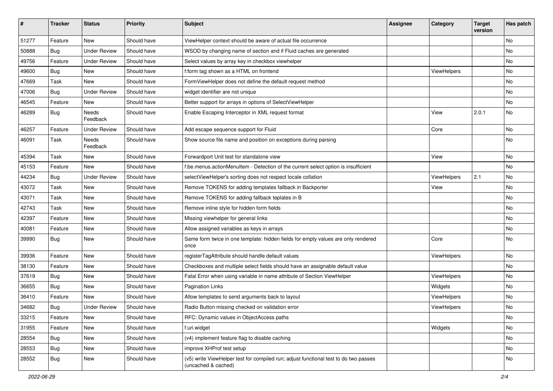| #     | <b>Tracker</b> | <b>Status</b>       | <b>Priority</b> | <b>Subject</b>                                                                                              | Assignee | Category    | <b>Target</b><br>version | Has patch |
|-------|----------------|---------------------|-----------------|-------------------------------------------------------------------------------------------------------------|----------|-------------|--------------------------|-----------|
| 51277 | Feature        | New                 | Should have     | ViewHelper context should be aware of actual file occurrence                                                |          |             |                          | No        |
| 50888 | <b>Bug</b>     | <b>Under Review</b> | Should have     | WSOD by changing name of section and if Fluid caches are generated                                          |          |             |                          | No        |
| 49756 | Feature        | <b>Under Review</b> | Should have     | Select values by array key in checkbox viewhelper                                                           |          |             |                          | No        |
| 49600 | Bug            | <b>New</b>          | Should have     | f:form tag shown as a HTML on frontend                                                                      |          | ViewHelpers |                          | No        |
| 47669 | Task           | New                 | Should have     | FormViewHelper does not define the default request method                                                   |          |             |                          | No        |
| 47006 | Bug            | <b>Under Review</b> | Should have     | widget identifier are not unique                                                                            |          |             |                          | No        |
| 46545 | Feature        | New                 | Should have     | Better support for arrays in options of SelectViewHelper                                                    |          |             |                          | No        |
| 46289 | Bug            | Needs<br>Feedback   | Should have     | Enable Escaping Interceptor in XML request format                                                           |          | View        | 2.0.1                    | No        |
| 46257 | Feature        | <b>Under Review</b> | Should have     | Add escape sequence support for Fluid                                                                       |          | Core        |                          | No        |
| 46091 | Task           | Needs<br>Feedback   | Should have     | Show source file name and position on exceptions during parsing                                             |          |             |                          | No        |
| 45394 | Task           | New                 | Should have     | Forwardport Unit test for standalone view                                                                   |          | View        |                          | No        |
| 45153 | Feature        | <b>New</b>          | Should have     | f:be.menus.actionMenuItem - Detection of the current select option is insufficient                          |          |             |                          | No        |
| 44234 | <b>Bug</b>     | <b>Under Review</b> | Should have     | selectViewHelper's sorting does not respect locale collation                                                |          | ViewHelpers | 2.1                      | No        |
| 43072 | Task           | New                 | Should have     | Remove TOKENS for adding templates fallback in Backporter                                                   |          | View        |                          | No        |
| 43071 | Task           | New                 | Should have     | Remove TOKENS for adding fallback teplates in B                                                             |          |             |                          | No        |
| 42743 | Task           | New                 | Should have     | Remove inline style for hidden form fields                                                                  |          |             |                          | No        |
| 42397 | Feature        | New                 | Should have     | Missing viewhelper for general links                                                                        |          |             |                          | No        |
| 40081 | Feature        | New                 | Should have     | Allow assigned variables as keys in arrays                                                                  |          |             |                          | No        |
| 39990 | Bug            | New                 | Should have     | Same form twice in one template: hidden fields for empty values are only rendered<br>once                   |          | Core        |                          | No        |
| 39936 | Feature        | New                 | Should have     | registerTagAttribute should handle default values                                                           |          | ViewHelpers |                          | No        |
| 38130 | Feature        | New                 | Should have     | Checkboxes and multiple select fields should have an assignable default value                               |          |             |                          | No        |
| 37619 | <b>Bug</b>     | New                 | Should have     | Fatal Error when using variable in name attribute of Section ViewHelper                                     |          | ViewHelpers |                          | No        |
| 36655 | <b>Bug</b>     | New                 | Should have     | <b>Pagination Links</b>                                                                                     |          | Widgets     |                          | No        |
| 36410 | Feature        | <b>New</b>          | Should have     | Allow templates to send arguments back to layout                                                            |          | ViewHelpers |                          | No        |
| 34682 | <b>Bug</b>     | <b>Under Review</b> | Should have     | Radio Button missing checked on validation error                                                            |          | ViewHelpers |                          | No        |
| 33215 | Feature        | New                 | Should have     | RFC: Dynamic values in ObjectAccess paths                                                                   |          |             |                          | No        |
| 31955 | Feature        | New                 | Should have     | f:uri.widget                                                                                                |          | Widgets     |                          | No        |
| 28554 | <b>Bug</b>     | New                 | Should have     | (v4) implement feature flag to disable caching                                                              |          |             |                          | No        |
| 28553 | Bug            | New                 | Should have     | improve XHProf test setup                                                                                   |          |             |                          | No        |
| 28552 | <b>Bug</b>     | New                 | Should have     | (v5) write ViewHelper test for compiled run; adjust functional test to do two passes<br>(uncached & cached) |          |             |                          | No        |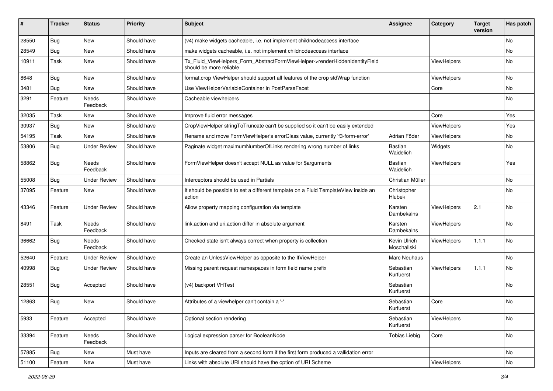| ∦     | <b>Tracker</b> | <b>Status</b>            | <b>Priority</b> | <b>Subject</b>                                                                                         | <b>Assignee</b>             | Category           | <b>Target</b><br>version | Has patch |
|-------|----------------|--------------------------|-----------------|--------------------------------------------------------------------------------------------------------|-----------------------------|--------------------|--------------------------|-----------|
| 28550 | Bug            | New                      | Should have     | (v4) make widgets cacheable, i.e. not implement childnodeaccess interface                              |                             |                    |                          | No        |
| 28549 | Bug            | New                      | Should have     | make widgets cacheable, i.e. not implement childnodeaccess interface                                   |                             |                    |                          | No        |
| 10911 | Task           | New                      | Should have     | Tx_Fluid_ViewHelpers_Form_AbstractFormViewHelper->renderHiddenIdentityField<br>should be more reliable |                             | ViewHelpers        |                          | No        |
| 8648  | Bug            | New                      | Should have     | format.crop ViewHelper should support all features of the crop stdWrap function                        |                             | <b>ViewHelpers</b> |                          | No.       |
| 3481  | Bug            | New                      | Should have     | Use ViewHelperVariableContainer in PostParseFacet                                                      |                             | Core               |                          | No.       |
| 3291  | Feature        | Needs<br>Feedback        | Should have     | Cacheable viewhelpers                                                                                  |                             |                    |                          | No        |
| 32035 | Task           | <b>New</b>               | Should have     | Improve fluid error messages                                                                           |                             | Core               |                          | Yes       |
| 30937 | <b>Bug</b>     | New                      | Should have     | CropViewHelper stringToTruncate can't be supplied so it can't be easily extended                       |                             | ViewHelpers        |                          | Yes       |
| 54195 | Task           | New                      | Should have     | Rename and move FormViewHelper's errorClass value, currently 'f3-form-error'                           | Adrian Föder                | ViewHelpers        |                          | No        |
| 53806 | Bug            | <b>Under Review</b>      | Should have     | Paginate widget maximumNumberOfLinks rendering wrong number of links                                   | Bastian<br>Waidelich        | Widgets            |                          | No        |
| 58862 | <b>Bug</b>     | <b>Needs</b><br>Feedback | Should have     | FormViewHelper doesn't accept NULL as value for \$arguments                                            | Bastian<br>Waidelich        | ViewHelpers        |                          | Yes       |
| 55008 | Bug            | <b>Under Review</b>      | Should have     | Interceptors should be used in Partials                                                                | Christian Müller            |                    |                          | No        |
| 37095 | Feature        | New                      | Should have     | It should be possible to set a different template on a Fluid TemplateView inside an<br>action          | Christopher<br>Hlubek       |                    |                          | No        |
| 43346 | Feature        | <b>Under Review</b>      | Should have     | Allow property mapping configuration via template                                                      | Karsten<br>Dambekalns       | ViewHelpers        | 2.1                      | No        |
| 8491  | Task           | Needs<br>Feedback        | Should have     | link.action and uri.action differ in absolute argument                                                 | Karsten<br>Dambekalns       | ViewHelpers        |                          | No.       |
| 36662 | Bug            | Needs<br>Feedback        | Should have     | Checked state isn't always correct when property is collection                                         | Kevin Ulrich<br>Moschallski | ViewHelpers        | 1.1.1                    | No        |
| 52640 | Feature        | <b>Under Review</b>      | Should have     | Create an UnlessViewHelper as opposite to the IfViewHelper                                             | Marc Neuhaus                |                    |                          | No.       |
| 40998 | Bug            | <b>Under Review</b>      | Should have     | Missing parent request namespaces in form field name prefix                                            | Sebastian<br>Kurfuerst      | ViewHelpers        | 1.1.1                    | <b>No</b> |
| 28551 | Bug            | Accepted                 | Should have     | (v4) backport VHTest                                                                                   | Sebastian<br>Kurfuerst      |                    |                          | No        |
| 12863 | Bug            | New                      | Should have     | Attributes of a viewhelper can't contain a '-'                                                         | Sebastian<br>Kurfuerst      | Core               |                          | No        |
| 5933  | Feature        | Accepted                 | Should have     | Optional section rendering                                                                             | Sebastian<br>Kurfuerst      | ViewHelpers        |                          | No        |
| 33394 | Feature        | Needs<br>Feedback        | Should have     | Logical expression parser for BooleanNode                                                              | <b>Tobias Liebig</b>        | Core               |                          | No        |
| 57885 | Bug            | New                      | Must have       | Inputs are cleared from a second form if the first form produced a vallidation error                   |                             |                    |                          | No        |
| 51100 | Feature        | New                      | Must have       | Links with absolute URI should have the option of URI Scheme                                           |                             | ViewHelpers        |                          | No        |